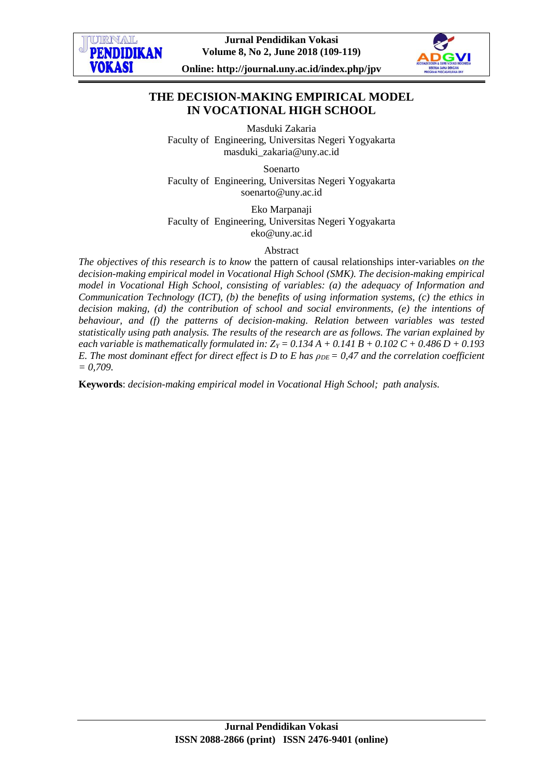

**Jurnal Pendidikan Vokasi Volume 8, No 2, June 2018 (109-119)**



**Online: http://journal.uny.ac.id/index.php/jpv**

# **THE DECISION-MAKING EMPIRICAL MODEL IN VOCATIONAL HIGH SCHOOL**

Masduki Zakaria Faculty of Engineering, Universitas Negeri Yogyakarta masduki\_zakaria@uny.ac.id

Soenarto Faculty of Engineering, Universitas Negeri Yogyakarta soenarto@uny.ac.id

Eko Marpanaji Faculty of Engineering, Universitas Negeri Yogyakarta eko@uny.ac.id

Abstract

*The objectives of this research is to know* the pattern of causal relationships inter-variables *on the decision-making empirical model in Vocational High School (SMK). The decision-making empirical model in Vocational High School, consisting of variables: (a) the adequacy of Information and Communication Technology (ICT), (b) the benefits of using information systems, (c) the ethics in decision making, (d) the contribution of school and social environments, (e) the intentions of behaviour, and (f) the patterns of decision-making. Relation between variables was tested statistically using path analysis. The results of the research are as follows. The varian explained by each variable is mathematically formulated in:*  $Z_Y = 0.134 A + 0.141 B + 0.102 C + 0.486 D + 0.193$ *E. The most dominant effect for direct effect is D to E has*  $\rho_{DE} = 0.47$  *and the correlation coefficient = 0,709.*

**Keywords**: *decision-making empirical model in Vocational High School; path analysis.*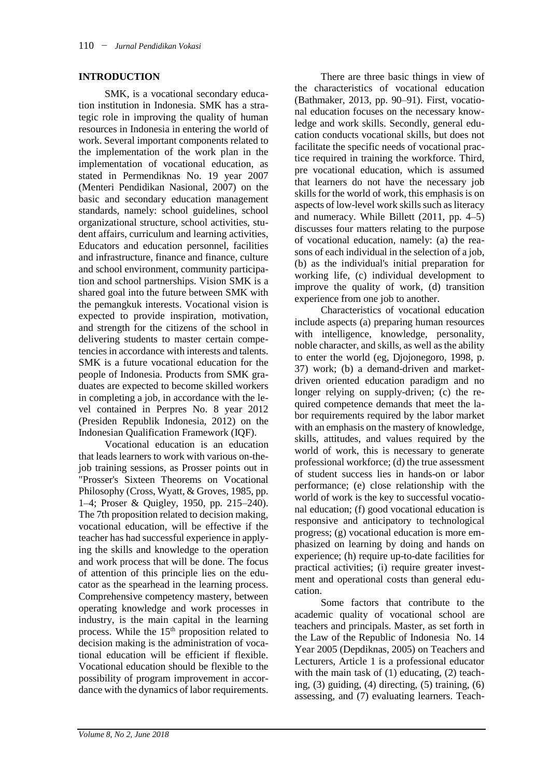### **INTRODUCTION**

SMK, is a vocational secondary education institution in Indonesia. SMK has a strategic role in improving the quality of human resources in Indonesia in entering the world of work. Several important components related to the implementation of the work plan in the implementation of vocational education, as stated in Permendiknas No. 19 year 2007 (Menteri Pendidikan Nasional, 2007) on the basic and secondary education management standards, namely: school guidelines, school organizational structure, school activities, student affairs, curriculum and learning activities, Educators and education personnel, facilities and infrastructure, finance and finance, culture and school environment, community participation and school partnerships. Vision SMK is a shared goal into the future between SMK with the pemangkuk interests. Vocational vision is expected to provide inspiration, motivation, and strength for the citizens of the school in delivering students to master certain competencies in accordance with interests and talents. SMK is a future vocational education for the people of Indonesia. Products from SMK graduates are expected to become skilled workers in completing a job, in accordance with the level contained in Perpres No. 8 year 2012 (Presiden Republik Indonesia, 2012) on the Indonesian Qualification Framework (IQF).

Vocational education is an education that leads learners to work with various on-thejob training sessions, as Prosser points out in "Prosser's Sixteen Theorems on Vocational Philosophy (Cross, Wyatt, & Groves, 1985, pp. 1–4; Proser & Quigley, 1950, pp. 215–240). The 7th proposition related to decision making, vocational education, will be effective if the teacher has had successful experience in applying the skills and knowledge to the operation and work process that will be done. The focus of attention of this principle lies on the educator as the spearhead in the learning process. Comprehensive competency mastery, between operating knowledge and work processes in industry, is the main capital in the learning process. While the  $15<sup>th</sup>$  proposition related to decision making is the administration of vocational education will be efficient if flexible. Vocational education should be flexible to the possibility of program improvement in accordance with the dynamics of labor requirements.

There are three basic things in view of the characteristics of vocational education (Bathmaker, 2013, pp. 90–91). First, vocational education focuses on the necessary knowledge and work skills. Secondly, general education conducts vocational skills, but does not facilitate the specific needs of vocational practice required in training the workforce. Third, pre vocational education, which is assumed that learners do not have the necessary job skills for the world of work, this emphasis is on aspects of low-level work skills such as literacy and numeracy. While Billett (2011, pp. 4–5) discusses four matters relating to the purpose of vocational education, namely: (a) the reasons of each individual in the selection of a job, (b) as the individual's initial preparation for working life, (c) individual development to improve the quality of work, (d) transition experience from one job to another.

Characteristics of vocational education include aspects (a) preparing human resources with intelligence, knowledge, personality, noble character, and skills, as well as the ability to enter the world (eg, Djojonegoro, 1998, p. 37) work; (b) a demand-driven and marketdriven oriented education paradigm and no longer relying on supply-driven; (c) the required competence demands that meet the labor requirements required by the labor market with an emphasis on the mastery of knowledge, skills, attitudes, and values required by the world of work, this is necessary to generate professional workforce; (d) the true assessment of student success lies in hands-on or labor performance; (e) close relationship with the world of work is the key to successful vocational education; (f) good vocational education is responsive and anticipatory to technological progress; (g) vocational education is more emphasized on learning by doing and hands on experience; (h) require up-to-date facilities for practical activities; (i) require greater investment and operational costs than general education.

Some factors that contribute to the academic quality of vocational school are teachers and principals. Master, as set forth in the Law of the Republic of Indonesia No. 14 Year 2005 (Depdiknas, 2005) on Teachers and Lecturers, Article 1 is a professional educator with the main task of (1) educating, (2) teaching, (3) guiding, (4) directing, (5) training, (6) assessing, and (7) evaluating learners. Teach-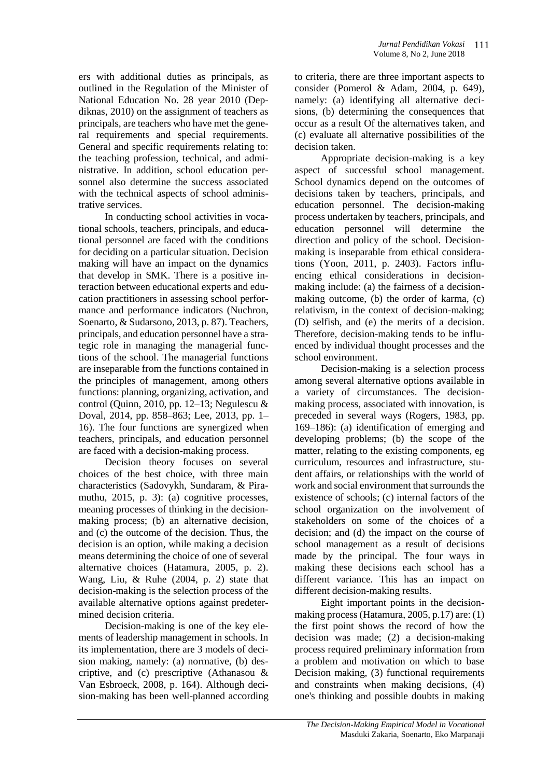ers with additional duties as principals, as outlined in the Regulation of the Minister of National Education No. 28 year 2010 (Depdiknas, 2010) on the assignment of teachers as principals, are teachers who have met the general requirements and special requirements. General and specific requirements relating to: the teaching profession, technical, and administrative. In addition, school education personnel also determine the success associated with the technical aspects of school administrative services.

In conducting school activities in vocational schools, teachers, principals, and educational personnel are faced with the conditions for deciding on a particular situation. Decision making will have an impact on the dynamics that develop in SMK. There is a positive interaction between educational experts and education practitioners in assessing school performance and performance indicators (Nuchron, Soenarto, & Sudarsono, 2013, p. 87). Teachers, principals, and education personnel have a strategic role in managing the managerial functions of the school. The managerial functions are inseparable from the functions contained in the principles of management, among others functions: planning, organizing, activation, and control (Quinn, 2010, pp. 12–13; Negulescu  $&$ Doval, 2014, pp. 858–863; Lee, 2013, pp. 1– 16). The four functions are synergized when teachers, principals, and education personnel are faced with a decision-making process.

Decision theory focuses on several choices of the best choice, with three main characteristics (Sadovykh, Sundaram, & Piramuthu, 2015, p. 3): (a) cognitive processes, meaning processes of thinking in the decisionmaking process; (b) an alternative decision, and (c) the outcome of the decision. Thus, the decision is an option, while making a decision means determining the choice of one of several alternative choices (Hatamura, 2005, p. 2). Wang, Liu, & Ruhe (2004, p. 2) state that decision-making is the selection process of the available alternative options against predetermined decision criteria.

Decision-making is one of the key elements of leadership management in schools. In its implementation, there are 3 models of decision making, namely: (a) normative, (b) descriptive, and (c) prescriptive (Athanasou & Van Esbroeck, 2008, p. 164). Although decision-making has been well-planned according to criteria, there are three important aspects to consider (Pomerol & Adam, 2004, p. 649), namely: (a) identifying all alternative decisions, (b) determining the consequences that occur as a result Of the alternatives taken, and (c) evaluate all alternative possibilities of the decision taken.

Appropriate decision-making is a key aspect of successful school management. School dynamics depend on the outcomes of decisions taken by teachers, principals, and education personnel. The decision-making process undertaken by teachers, principals, and education personnel will determine the direction and policy of the school. Decisionmaking is inseparable from ethical considerations (Yoon, 2011, p. 2403). Factors influencing ethical considerations in decisionmaking include: (a) the fairness of a decisionmaking outcome, (b) the order of karma, (c) relativism, in the context of decision-making; (D) selfish, and (e) the merits of a decision. Therefore, decision-making tends to be influenced by individual thought processes and the school environment.

Decision-making is a selection process among several alternative options available in a variety of circumstances. The decisionmaking process, associated with innovation, is preceded in several ways (Rogers, 1983, pp. 169–186): (a) identification of emerging and developing problems; (b) the scope of the matter, relating to the existing components, eg curriculum, resources and infrastructure, student affairs, or relationships with the world of work and social environment that surrounds the existence of schools; (c) internal factors of the school organization on the involvement of stakeholders on some of the choices of a decision; and (d) the impact on the course of school management as a result of decisions made by the principal. The four ways in making these decisions each school has a different variance. This has an impact on different decision-making results.

Eight important points in the decisionmaking process (Hatamura, 2005, p.17) are: (1) the first point shows the record of how the decision was made; (2) a decision-making process required preliminary information from a problem and motivation on which to base Decision making, (3) functional requirements and constraints when making decisions, (4) one's thinking and possible doubts in making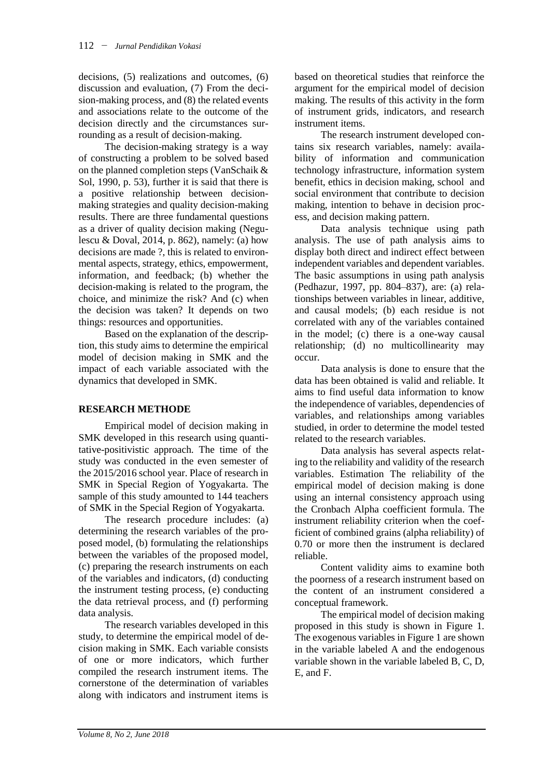decisions, (5) realizations and outcomes, (6) discussion and evaluation, (7) From the decision-making process, and (8) the related events and associations relate to the outcome of the decision directly and the circumstances surrounding as a result of decision-making.

The decision-making strategy is a way of constructing a problem to be solved based on the planned completion steps (VanSchaik & Sol, 1990, p. 53), further it is said that there is a positive relationship between decisionmaking strategies and quality decision-making results. There are three fundamental questions as a driver of quality decision making (Negulescu & Doval, 2014, p. 862), namely: (a) how decisions are made ?, this is related to environmental aspects, strategy, ethics, empowerment, information, and feedback; (b) whether the decision-making is related to the program, the choice, and minimize the risk? And (c) when the decision was taken? It depends on two things: resources and opportunities.

Based on the explanation of the description, this study aims to determine the empirical model of decision making in SMK and the impact of each variable associated with the dynamics that developed in SMK.

# **RESEARCH METHODE**

Empirical model of decision making in SMK developed in this research using quantitative-positivistic approach. The time of the study was conducted in the even semester of the 2015/2016 school year. Place of research in SMK in Special Region of Yogyakarta. The sample of this study amounted to 144 teachers of SMK in the Special Region of Yogyakarta.

The research procedure includes: (a) determining the research variables of the proposed model, (b) formulating the relationships between the variables of the proposed model, (c) preparing the research instruments on each of the variables and indicators, (d) conducting the instrument testing process, (e) conducting the data retrieval process, and (f) performing data analysis.

The research variables developed in this study, to determine the empirical model of decision making in SMK. Each variable consists of one or more indicators, which further compiled the research instrument items. The cornerstone of the determination of variables along with indicators and instrument items is

based on theoretical studies that reinforce the argument for the empirical model of decision making. The results of this activity in the form of instrument grids, indicators, and research instrument items.

The research instrument developed contains six research variables, namely: availability of information and communication technology infrastructure, information system benefit, ethics in decision making, school and social environment that contribute to decision making, intention to behave in decision process, and decision making pattern.

Data analysis technique using path analysis. The use of path analysis aims to display both direct and indirect effect between independent variables and dependent variables. The basic assumptions in using path analysis (Pedhazur, 1997, pp. 804–837), are: (a) relationships between variables in linear, additive, and causal models; (b) each residue is not correlated with any of the variables contained in the model; (c) there is a one-way causal relationship; (d) no multicollinearity may occur.

Data analysis is done to ensure that the data has been obtained is valid and reliable. It aims to find useful data information to know the independence of variables, dependencies of variables, and relationships among variables studied, in order to determine the model tested related to the research variables.

Data analysis has several aspects relating to the reliability and validity of the research variables. Estimation The reliability of the empirical model of decision making is done using an internal consistency approach using the Cronbach Alpha coefficient formula. The instrument reliability criterion when the coefficient of combined grains (alpha reliability) of 0.70 or more then the instrument is declared reliable.

Content validity aims to examine both the poorness of a research instrument based on the content of an instrument considered a conceptual framework.

The empirical model of decision making proposed in this study is shown in Figure 1. The exogenous variables in Figure 1 are shown in the variable labeled A and the endogenous variable shown in the variable labeled B, C, D, E, and F.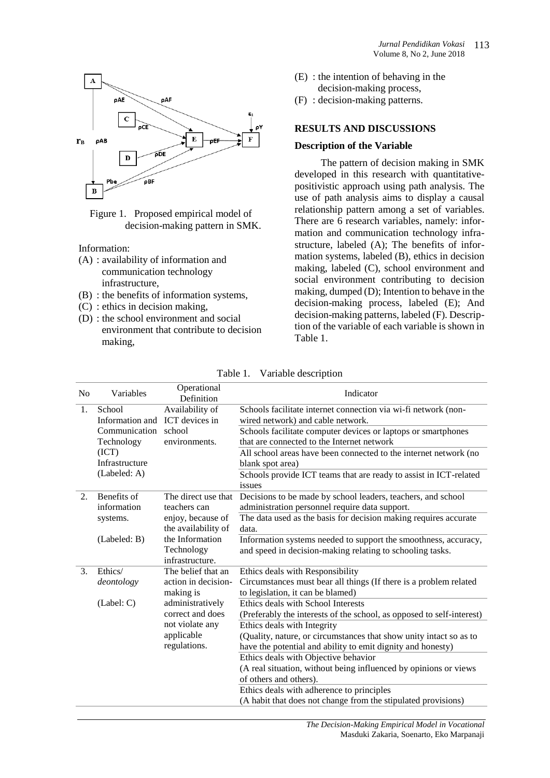

Figure 1. Proposed empirical model of decision-making pattern in SMK.

Information:

- (A) : availability of information and communication technology infrastructure,
- (B) : the benefits of information systems,
- (C) : ethics in decision making,
- (D) : the school environment and social environment that contribute to decision making,
- (E) : the intention of behaving in the decision-making process,
- (F) : decision-making patterns.

#### **RESULTS AND DISCUSSIONS**

#### **Description of the Variable**

The pattern of decision making in SMK developed in this research with quantitativepositivistic approach using path analysis. The use of path analysis aims to display a causal relationship pattern among a set of variables. There are 6 research variables, namely: information and communication technology infrastructure, labeled (A); The benefits of information systems, labeled (B), ethics in decision making, labeled (C), school environment and social environment contributing to decision making, dumped (D); Intention to behave in the decision-making process, labeled (E); And decision-making patterns, labeled (F). Description of the variable of each variable is shown in Table 1.

| N <sub>0</sub> | Variables                      | Operational<br>Definition | Indicator                                                             |
|----------------|--------------------------------|---------------------------|-----------------------------------------------------------------------|
| 1.             | School                         | Availability of           | Schools facilitate internet connection via wi-fi network (non-        |
|                | Information and ICT devices in |                           | wired network) and cable network.                                     |
|                | Communication school           |                           | Schools facilitate computer devices or laptops or smartphones         |
|                | Technology                     | environments.             | that are connected to the Internet network                            |
|                | (ICT)                          |                           | All school areas have been connected to the internet network (no      |
|                | Infrastructure                 |                           | blank spot area)                                                      |
|                | (Labeled: A)                   |                           | Schools provide ICT teams that are ready to assist in ICT-related     |
|                |                                |                           | issues                                                                |
| 2.             | Benefits of                    | The direct use that       | Decisions to be made by school leaders, teachers, and school          |
|                | information                    | teachers can              | administration personnel require data support.                        |
|                | systems.                       | enjoy, because of         | The data used as the basis for decision making requires accurate      |
|                |                                | the availability of       | data.                                                                 |
|                | (Labeled: B)                   | the Information           | Information systems needed to support the smoothness, accuracy,       |
|                |                                | Technology                | and speed in decision-making relating to schooling tasks.             |
|                |                                | infrastructure.           |                                                                       |
| 3.             | Ethics/                        | The belief that an        | Ethics deals with Responsibility                                      |
|                | deontology                     | action in decision-       | Circumstances must bear all things (If there is a problem related     |
|                |                                | making is                 | to legislation, it can be blamed)                                     |
|                | (Label: C)                     | administratively          | Ethics deals with School Interests                                    |
|                |                                | correct and does          | (Preferably the interests of the school, as opposed to self-interest) |
|                |                                | not violate any           | Ethics deals with Integrity                                           |
|                |                                | applicable                | (Quality, nature, or circumstances that show unity intact so as to    |
|                |                                | regulations.              | have the potential and ability to emit dignity and honesty)           |
|                |                                |                           | Ethics deals with Objective behavior                                  |
|                |                                |                           | (A real situation, without being influenced by opinions or views      |
|                |                                |                           | of others and others).                                                |
|                |                                |                           | Ethics deals with adherence to principles                             |
|                |                                |                           | (A habit that does not change from the stipulated provisions)         |

Table 1. Variable description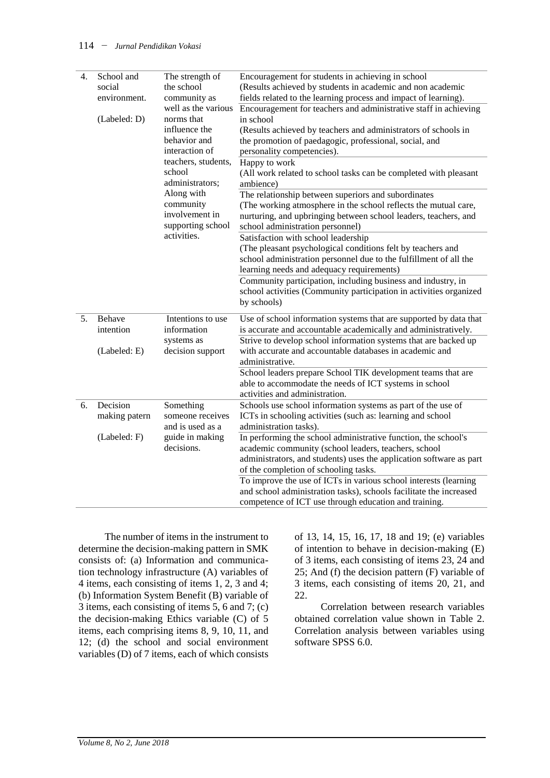| 4. | School and<br>social<br>environment.<br>(Labeled: D) | The strength of<br>the school<br>community as<br>well as the various<br>norms that<br>influence the<br>behavior and<br>interaction of<br>teachers, students,<br>school<br>administrators;<br>Along with<br>community<br>involvement in<br>supporting school<br>activities. | Encouragement for students in achieving in school<br>(Results achieved by students in academic and non academic<br>fields related to the learning process and impact of learning).<br>Encouragement for teachers and administrative staff in achieving<br>in school<br>(Results achieved by teachers and administrators of schools in<br>the promotion of paedagogic, professional, social, and<br>personality competencies).<br>Happy to work<br>(All work related to school tasks can be completed with pleasant<br>ambience)<br>The relationship between superiors and subordinates<br>(The working atmosphere in the school reflects the mutual care,<br>nurturing, and upbringing between school leaders, teachers, and<br>school administration personnel)<br>Satisfaction with school leadership<br>(The pleasant psychological conditions felt by teachers and<br>school administration personnel due to the fulfillment of all the<br>learning needs and adequacy requirements)<br>Community participation, including business and industry, in<br>school activities (Community participation in activities organized |
|----|------------------------------------------------------|----------------------------------------------------------------------------------------------------------------------------------------------------------------------------------------------------------------------------------------------------------------------------|--------------------------------------------------------------------------------------------------------------------------------------------------------------------------------------------------------------------------------------------------------------------------------------------------------------------------------------------------------------------------------------------------------------------------------------------------------------------------------------------------------------------------------------------------------------------------------------------------------------------------------------------------------------------------------------------------------------------------------------------------------------------------------------------------------------------------------------------------------------------------------------------------------------------------------------------------------------------------------------------------------------------------------------------------------------------------------------------------------------------------------|
| 5. | Behave<br>intention<br>(Labeled: E)                  | Intentions to use<br>information<br>systems as<br>decision support                                                                                                                                                                                                         | by schools)<br>Use of school information systems that are supported by data that<br>is accurate and accountable academically and administratively.<br>Strive to develop school information systems that are backed up<br>with accurate and accountable databases in academic and<br>administrative.<br>School leaders prepare School TIK development teams that are                                                                                                                                                                                                                                                                                                                                                                                                                                                                                                                                                                                                                                                                                                                                                            |
| 6. | Decision                                             | Something                                                                                                                                                                                                                                                                  | able to accommodate the needs of ICT systems in school<br>activities and administration.<br>Schools use school information systems as part of the use of                                                                                                                                                                                                                                                                                                                                                                                                                                                                                                                                                                                                                                                                                                                                                                                                                                                                                                                                                                       |
|    | making patern                                        | someone receives<br>and is used as a<br>guide in making<br>decisions.                                                                                                                                                                                                      | ICTs in schooling activities (such as: learning and school<br>administration tasks).                                                                                                                                                                                                                                                                                                                                                                                                                                                                                                                                                                                                                                                                                                                                                                                                                                                                                                                                                                                                                                           |
|    | (Labeled: F)                                         |                                                                                                                                                                                                                                                                            | In performing the school administrative function, the school's<br>academic community (school leaders, teachers, school<br>administrators, and students) uses the application software as part<br>of the completion of schooling tasks.<br>To improve the use of ICTs in various school interests (learning<br>and school administration tasks), schools facilitate the increased                                                                                                                                                                                                                                                                                                                                                                                                                                                                                                                                                                                                                                                                                                                                               |
|    |                                                      |                                                                                                                                                                                                                                                                            | competence of ICT use through education and training.                                                                                                                                                                                                                                                                                                                                                                                                                                                                                                                                                                                                                                                                                                                                                                                                                                                                                                                                                                                                                                                                          |

The number of items in the instrument to determine the decision-making pattern in SMK consists of: (a) Information and communication technology infrastructure (A) variables of 4 items, each consisting of items 1, 2, 3 and 4; (b) Information System Benefit (B) variable of 3 items, each consisting of items 5, 6 and 7; (c) the decision-making Ethics variable (C) of 5 items, each comprising items 8, 9, 10, 11, and 12; (d) the school and social environment variables (D) of 7 items, each of which consists

of 13, 14, 15, 16, 17, 18 and 19; (e) variables of intention to behave in decision-making (E) of 3 items, each consisting of items 23, 24 and 25; And (f) the decision pattern (F) variable of 3 items, each consisting of items 20, 21, and 22.

Correlation between research variables obtained correlation value shown in Table 2. Correlation analysis between variables using software SPSS 6.0.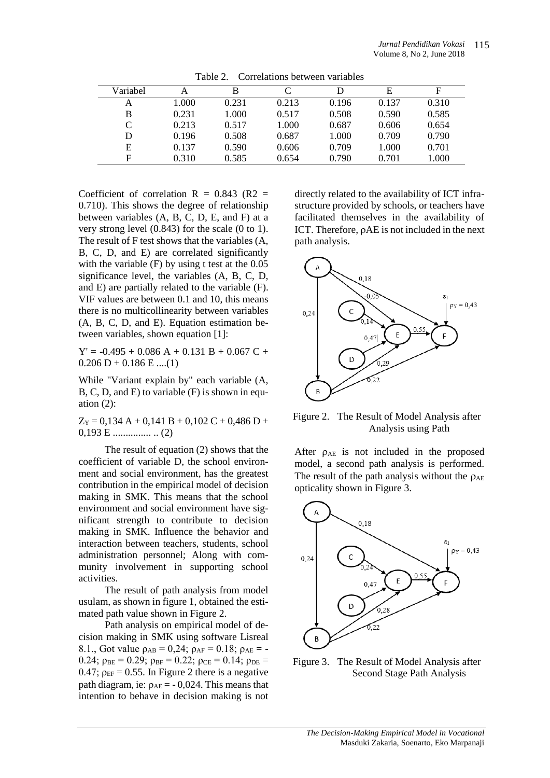| Variabel | А     | B     |       |       | E     | F     |
|----------|-------|-------|-------|-------|-------|-------|
| Α        | 1.000 | 0.231 | 0.213 | 0.196 | 0.137 | 0.310 |
| B        | 0.231 | 1.000 | 0.517 | 0.508 | 0.590 | 0.585 |
| C        | 0.213 | 0.517 | 1.000 | 0.687 | 0.606 | 0.654 |
| D        | 0.196 | 0.508 | 0.687 | 1.000 | 0.709 | 0.790 |
| Ε        | 0.137 | 0.590 | 0.606 | 0.709 | 1.000 | 0.701 |
| F        | 0.310 | 0.585 | 0.654 | 0.790 | 0.701 | 1.000 |

Table 2. Correlations between variables

Coefficient of correlation  $R = 0.843$  (R2 = 0.710). This shows the degree of relationship between variables (A, B, C, D, E, and F) at a very strong level (0.843) for the scale (0 to 1). The result of F test shows that the variables (A, B, C, D, and E) are correlated significantly with the variable (F) by using t test at the 0.05 significance level, the variables (A, B, C, D, and E) are partially related to the variable (F). VIF values are between 0.1 and 10, this means there is no multicollinearity between variables (A, B, C, D, and E). Equation estimation between variables, shown equation [1]:

 $Y' = -0.495 + 0.086$  A + 0.131 B + 0.067 C +  $0.206$  D + 0.186 E ....(1)

While "Variant explain by" each variable (A, B, C, D, and E) to variable (F) is shown in equation  $(2)$ :

 $Z_Y = 0.134 A + 0.141 B + 0.102 C + 0.486 D +$ 0,193 E ............... .. (2)

The result of equation (2) shows that the coefficient of variable D, the school environment and social environment, has the greatest contribution in the empirical model of decision making in SMK. This means that the school environment and social environment have significant strength to contribute to decision making in SMK. Influence the behavior and interaction between teachers, students, school administration personnel; Along with community involvement in supporting school activities.

The result of path analysis from model usulam, as shown in figure 1, obtained the estimated path value shown in Figure 2.

Path analysis on empirical model of decision making in SMK using software Lisreal 8.1., Got value  $\rho_{AB} = 0.24$ ;  $\rho_{AF} = 0.18$ ;  $\rho_{AE} = -$ 0.24;  $\rho_{BE} = 0.29$ ;  $\rho_{BF} = 0.22$ ;  $\rho_{CE} = 0.14$ ;  $\rho_{DE} =$ 0.47;  $\rho_{EF} = 0.55$ . In Figure 2 there is a negative path diagram, ie:  $\rho_{AE} = -0.024$ . This means that intention to behave in decision making is not

directly related to the availability of ICT infrastructure provided by schools, or teachers have facilitated themselves in the availability of ICT. Therefore,  $\rho$ AE is not included in the next path analysis.



Figure 2. The Result of Model Analysis after Analysis using Path

After  $\rho_{AE}$  is not included in the proposed model, a second path analysis is performed. The result of the path analysis without the  $\rho_{AE}$ opticality shown in Figure 3.



Figure 3. The Result of Model Analysis after Second Stage Path Analysis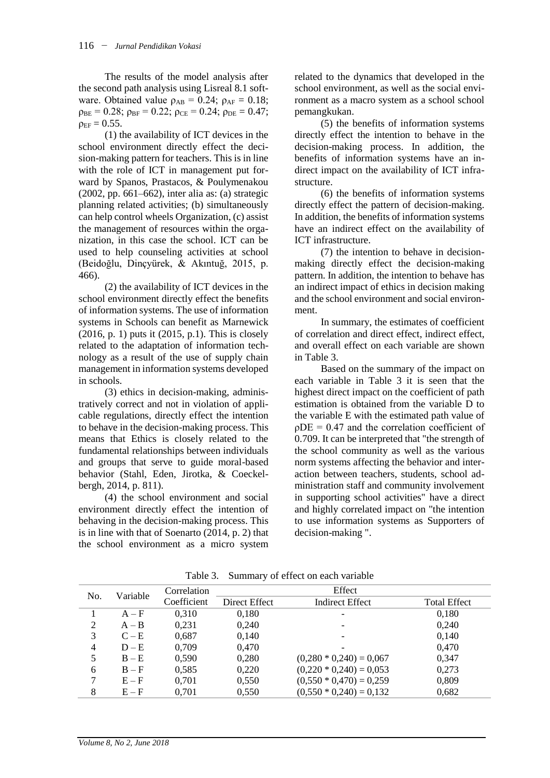The results of the model analysis after the second path analysis using Lisreal 8.1 software. Obtained value  $\rho_{AB} = 0.24$ ;  $\rho_{AF} = 0.18$ ;  $\rho_{BE} = 0.28$ ;  $\rho_{BF} = 0.22$ ;  $\rho_{CE} = 0.24$ ;  $\rho_{DE} = 0.47$ ;  $\rho_{EF} = 0.55$ .

(1) the availability of ICT devices in the school environment directly effect the decision-making pattern for teachers. This is in line with the role of ICT in management put forward by Spanos, Prastacos, & Poulymenakou (2002, pp. 661–662), inter alia as: (a) strategic planning related activities; (b) simultaneously can help control wheels Organization, (c) assist the management of resources within the organization, in this case the school. ICT can be used to help counseling activities at school (Beidoğlu, Dinçyürek, & Akıntuğ, 2015, p. 466).

(2) the availability of ICT devices in the school environment directly effect the benefits of information systems. The use of information systems in Schools can benefit as Marnewick (2016, p. 1) puts it (2015, p.1). This is closely related to the adaptation of information technology as a result of the use of supply chain management in information systems developed in schools.

(3) ethics in decision-making, administratively correct and not in violation of applicable regulations, directly effect the intention to behave in the decision-making process. This means that Ethics is closely related to the fundamental relationships between individuals and groups that serve to guide moral-based behavior (Stahl, Eden, Jirotka, & Coeckelbergh, 2014, p. 811).

(4) the school environment and social environment directly effect the intention of behaving in the decision-making process. This is in line with that of Soenarto (2014, p. 2) that the school environment as a micro system related to the dynamics that developed in the school environment, as well as the social environment as a macro system as a school school pemangkukan.

(5) the benefits of information systems directly effect the intention to behave in the decision-making process. In addition, the benefits of information systems have an indirect impact on the availability of ICT infrastructure.

(6) the benefits of information systems directly effect the pattern of decision-making. In addition, the benefits of information systems have an indirect effect on the availability of ICT infrastructure.

(7) the intention to behave in decisionmaking directly effect the decision-making pattern. In addition, the intention to behave has an indirect impact of ethics in decision making and the school environment and social environment.

In summary, the estimates of coefficient of correlation and direct effect, indirect effect, and overall effect on each variable are shown in Table 3.

Based on the summary of the impact on each variable in Table 3 it is seen that the highest direct impact on the coefficient of path estimation is obtained from the variable D to the variable E with the estimated path value of  $\rho$ DE = 0.47 and the correlation coefficient of 0.709. It can be interpreted that "the strength of the school community as well as the various norm systems affecting the behavior and interaction between teachers, students, school administration staff and community involvement in supporting school activities" have a direct and highly correlated impact on "the intention to use information systems as Supporters of decision-making ".

| No. | Variable | Correlation | Effect        |                           |                     |  |
|-----|----------|-------------|---------------|---------------------------|---------------------|--|
|     |          | Coefficient | Direct Effect | <b>Indirect Effect</b>    | <b>Total Effect</b> |  |
|     | $A - F$  | 0.310       | 0,180         |                           | 0,180               |  |
| 2   | $A - B$  | 0,231       | 0,240         |                           | 0,240               |  |
| 3   | $C - E$  | 0,687       | 0,140         |                           | 0,140               |  |
| 4   | $D - E$  | 0,709       | 0,470         |                           | 0,470               |  |
| 5   | $B - E$  | 0,590       | 0,280         | $(0,280 * 0,240) = 0,067$ | 0,347               |  |
| 6   | $B - F$  | 0,585       | 0,220         | $(0,220 * 0,240) = 0,053$ | 0,273               |  |
| 7   | $E - F$  | 0,701       | 0,550         | $(0,550 * 0,470) = 0,259$ | 0,809               |  |
| 8   | $E - F$  | 0,701       | 0,550         | $(0,550 * 0,240) = 0,132$ | 0,682               |  |

Table 3. Summary of effect on each variable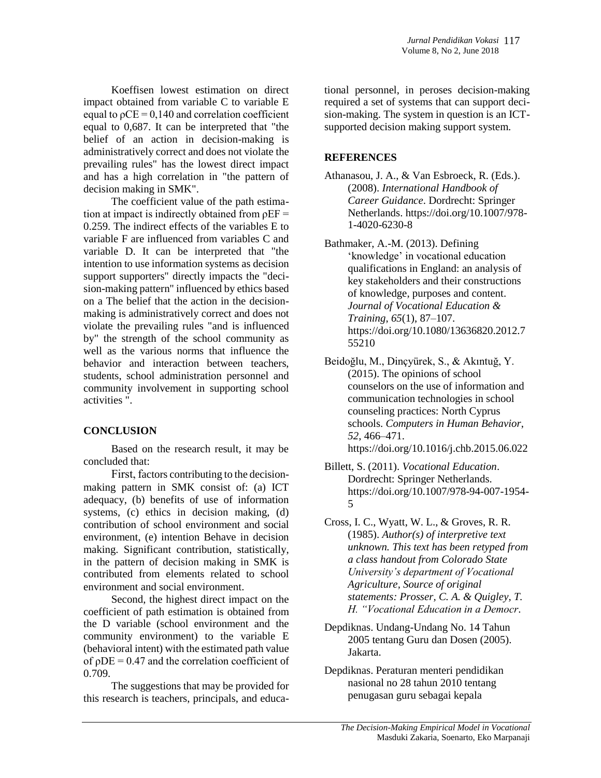Koeffisen lowest estimation on direct impact obtained from variable C to variable E equal to  $pCE = 0,140$  and correlation coefficient equal to 0,687. It can be interpreted that "the belief of an action in decision-making is administratively correct and does not violate the prevailing rules" has the lowest direct impact and has a high correlation in "the pattern of decision making in SMK".

The coefficient value of the path estimation at impact is indirectly obtained from  $\rho EF =$ 0.259. The indirect effects of the variables E to variable F are influenced from variables C and variable D. It can be interpreted that "the intention to use information systems as decision support supporters" directly impacts the "decision-making pattern" influenced by ethics based on a The belief that the action in the decisionmaking is administratively correct and does not violate the prevailing rules "and is influenced by" the strength of the school community as well as the various norms that influence the behavior and interaction between teachers, students, school administration personnel and community involvement in supporting school activities ".

# **CONCLUSION**

Based on the research result, it may be concluded that:

First, factors contributing to the decisionmaking pattern in SMK consist of: (a) ICT adequacy, (b) benefits of use of information systems, (c) ethics in decision making, (d) contribution of school environment and social environment, (e) intention Behave in decision making. Significant contribution, statistically, in the pattern of decision making in SMK is contributed from elements related to school environment and social environment.

Second, the highest direct impact on the coefficient of path estimation is obtained from the D variable (school environment and the community environment) to the variable E (behavioral intent) with the estimated path value of  $\rho$ DE = 0.47 and the correlation coefficient of 0.709.

The suggestions that may be provided for this research is teachers, principals, and educational personnel, in peroses decision-making required a set of systems that can support decision-making. The system in question is an ICTsupported decision making support system.

# **REFERENCES**

- Athanasou, J. A., & Van Esbroeck, R. (Eds.). (2008). *International Handbook of Career Guidance*. Dordrecht: Springer Netherlands. https://doi.org/10.1007/978- 1-4020-6230-8
- Bathmaker, A.-M. (2013). Defining 'knowledge' in vocational education qualifications in England: an analysis of key stakeholders and their constructions of knowledge, purposes and content. *Journal of Vocational Education & Training*, *65*(1), 87–107. https://doi.org/10.1080/13636820.2012.7 55210
- Beidoğlu, M., Dinçyürek, S., & Akıntuğ, Y. (2015). The opinions of school counselors on the use of information and communication technologies in school counseling practices: North Cyprus schools. *Computers in Human Behavior*, *52*, 466–471. https://doi.org/10.1016/j.chb.2015.06.022
- Billett, S. (2011). *Vocational Education*. Dordrecht: Springer Netherlands. https://doi.org/10.1007/978-94-007-1954- 5
- Cross, I. C., Wyatt, W. L., & Groves, R. R. (1985). *Author(s) of interpretive text unknown. This text has been retyped from a class handout from Colorado State University's department of Vocational Agriculture, Source of original statements: Prosser, C. A. & Quigley, T. H. "Vocational Education in a Democr*.
- Depdiknas. Undang-Undang No. 14 Tahun 2005 tentang Guru dan Dosen (2005). Jakarta.
- Depdiknas. Peraturan menteri pendidikan nasional no 28 tahun 2010 tentang penugasan guru sebagai kepala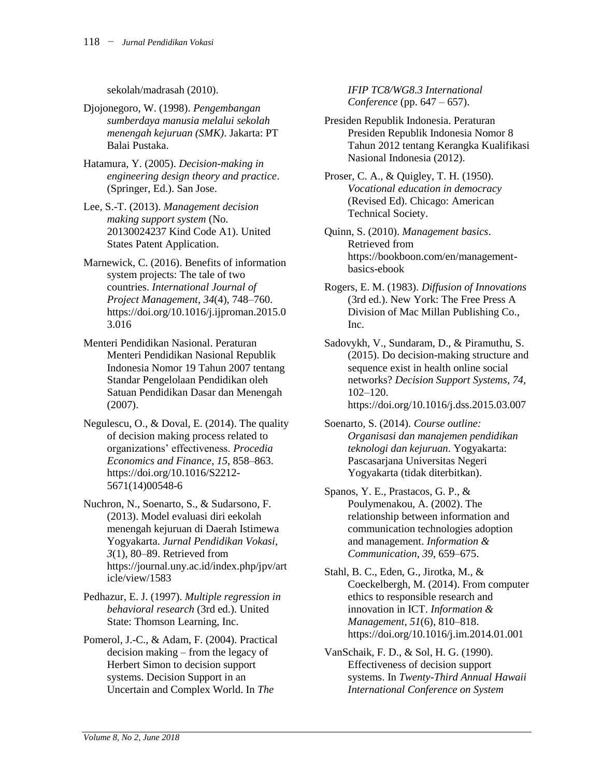sekolah/madrasah (2010).

- Djojonegoro, W. (1998). *Pengembangan sumberdaya manusia melalui sekolah menengah kejuruan (SMK)*. Jakarta: PT Balai Pustaka.
- Hatamura, Y. (2005). *Decision-making in engineering design theory and practice*. (Springer, Ed.). San Jose.
- Lee, S.-T. (2013). *Management decision making support system* (No. 20130024237 Kind Code A1). United States Patent Application.
- Marnewick, C. (2016). Benefits of information system projects: The tale of two countries. *International Journal of Project Management*, *34*(4), 748–760. https://doi.org/10.1016/j.ijproman.2015.0 3.016
- Menteri Pendidikan Nasional. Peraturan Menteri Pendidikan Nasional Republik Indonesia Nomor 19 Tahun 2007 tentang Standar Pengelolaan Pendidikan oleh Satuan Pendidikan Dasar dan Menengah (2007).
- Negulescu, O., & Doval, E. (2014). The quality of decision making process related to organizations' effectiveness. *Procedia Economics and Finance*, *15*, 858–863. https://doi.org/10.1016/S2212- 5671(14)00548-6
- Nuchron, N., Soenarto, S., & Sudarsono, F. (2013). Model evaluasi diri eekolah menengah kejuruan di Daerah Istimewa Yogyakarta. *Jurnal Pendidikan Vokasi*, *3*(1), 80–89. Retrieved from https://journal.uny.ac.id/index.php/jpv/art icle/view/1583
- Pedhazur, E. J. (1997). *Multiple regression in behavioral research* (3rd ed.). United State: Thomson Learning, Inc.
- Pomerol, J.-C., & Adam, F. (2004). Practical decision making – from the legacy of Herbert Simon to decision support systems. Decision Support in an Uncertain and Complex World. In *The*

*IFIP TC8/WG8.3 International Conference* (pp. 647 – 657).

- Presiden Republik Indonesia. Peraturan Presiden Republik Indonesia Nomor 8 Tahun 2012 tentang Kerangka Kualifikasi Nasional Indonesia (2012).
- Proser, C. A., & Quigley, T. H. (1950). *Vocational education in democracy* (Revised Ed). Chicago: American Technical Society.
- Quinn, S. (2010). *Management basics*. Retrieved from https://bookboon.com/en/managementbasics-ebook
- Rogers, E. M. (1983). *Diffusion of Innovations* (3rd ed.). New York: The Free Press A Division of Mac Millan Publishing Co., Inc.
- Sadovykh, V., Sundaram, D., & Piramuthu, S. (2015). Do decision-making structure and sequence exist in health online social networks? *Decision Support Systems*, *74*, 102–120. https://doi.org/10.1016/j.dss.2015.03.007
- Soenarto, S. (2014). *Course outline: Organisasi dan manajemen pendidikan teknologi dan kejuruan*. Yogyakarta: Pascasarjana Universitas Negeri Yogyakarta (tidak diterbitkan).
- Spanos, Y. E., Prastacos, G. P., & Poulymenakou, A. (2002). The relationship between information and communication technologies adoption and management. *Information & Communication*, *39*, 659–675.
- Stahl, B. C., Eden, G., Jirotka, M., & Coeckelbergh, M. (2014). From computer ethics to responsible research and innovation in ICT. *Information & Management*, *51*(6), 810–818. https://doi.org/10.1016/j.im.2014.01.001
- VanSchaik, F. D., & Sol, H. G. (1990). Effectiveness of decision support systems. In *Twenty-Third Annual Hawaii International Conference on System*